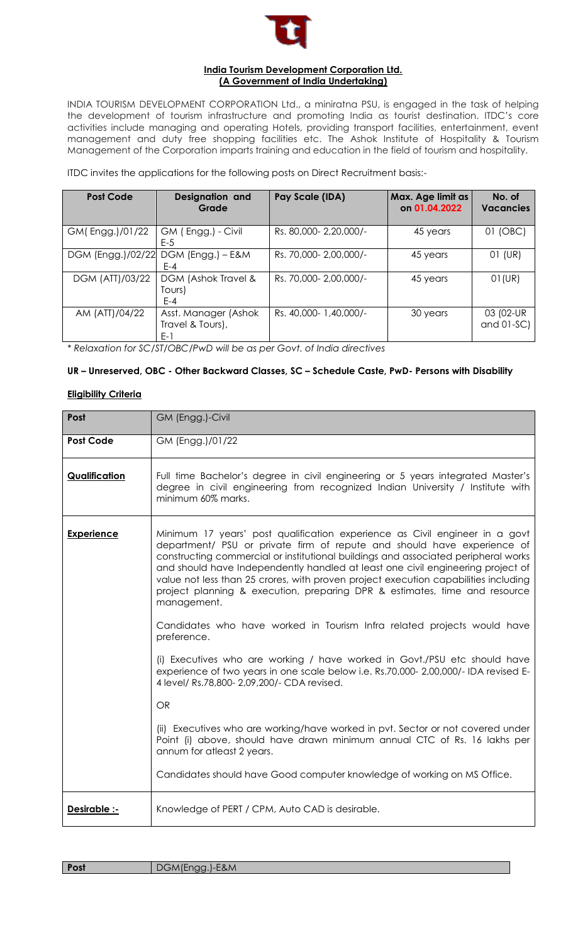

#### **India Tourism Development Corporation Ltd. (A Government of India Undertaking)**

INDIA TOURISM DEVELOPMENT CORPORATION Ltd., a miniratna PSU, is engaged in the task of helping the development of tourism infrastructure and promoting India as tourist destination. ITDC's core activities include managing and operating Hotels, providing transport facilities, entertainment, event management and duty free shopping facilities etc. The Ashok Institute of Hospitality & Tourism Management of the Corporation imparts training and education in the field of tourism and hospitality.

ITDC invites the applications for the following posts on Direct Recruitment basis:-

| <b>Post Code</b>  | Designation and<br>Grade                        | <b>Pay Scale (IDA)</b> | Max. Age limit as<br>on 01.04.2022 | No. of<br><b>Vacancies</b> |
|-------------------|-------------------------------------------------|------------------------|------------------------------------|----------------------------|
| GM(Engg.)/01/22   | GM (Engg.) - Civil<br>$E-5$                     | Rs. 80,000-2,20,000/-  | 45 years                           | 01 (OBC)                   |
| DGM (Engg.)/02/22 | DGM (Engg.) - E&M<br>$F - 4$                    | Rs. 70,000-2,00,000/-  | 45 years                           | 01 (UR)                    |
| DGM (ATT)/03/22   | DGM (Ashok Travel &<br>Tours)<br>$E - 4$        | Rs. 70,000-2,00,000/-  | 45 years                           | $01$ (UR)                  |
| AM (ATT)/04/22    | Asst. Manager (Ashok<br>Travel & Tours),<br>E-1 | Rs. 40,000- 1,40,000/- | 30 years                           | 03 (02-UR<br>and $01-SC$ ) |

*\* Relaxation for SC/ST/OBC/PwD will be as per Govt. of India directives*

# **UR – Unreserved, OBC - Other Backward Classes, SC – Schedule Caste, PwD- Persons with Disability**

#### **Eligibility Criteria**

| Post                 | GM (Engg.)-Civil                                                                                                                                                                                                                                                                                                                                                                                                                                                                                                    |  |
|----------------------|---------------------------------------------------------------------------------------------------------------------------------------------------------------------------------------------------------------------------------------------------------------------------------------------------------------------------------------------------------------------------------------------------------------------------------------------------------------------------------------------------------------------|--|
| <b>Post Code</b>     | GM (Engg.)/01/22                                                                                                                                                                                                                                                                                                                                                                                                                                                                                                    |  |
| <b>Qualification</b> | Full time Bachelor's degree in civil engineering or 5 years integrated Master's<br>degree in civil engineering from recognized Indian University / Institute with<br>minimum 60% marks.                                                                                                                                                                                                                                                                                                                             |  |
| Experience           | Minimum 17 years' post qualification experience as Civil engineer in a govt<br>department/ PSU or private firm of repute and should have experience of<br>constructing commercial or institutional buildings and associated peripheral works<br>and should have Independently handled at least one civil engineering project of<br>value not less than 25 crores, with proven project execution capabilities including<br>project planning & execution, preparing DPR & estimates, time and resource<br>management. |  |
|                      | Candidates who have worked in Tourism Infra related projects would have<br>preference.                                                                                                                                                                                                                                                                                                                                                                                                                              |  |
|                      | (i) Executives who are working / have worked in Govt./PSU etc should have<br>experience of two years in one scale below i.e. Rs.70,000- 2,00,000/- IDA revised E-<br>4 level/ Rs.78,800- 2,09,200/- CDA revised.                                                                                                                                                                                                                                                                                                    |  |
|                      | <b>OR</b>                                                                                                                                                                                                                                                                                                                                                                                                                                                                                                           |  |
|                      | (ii) Executives who are working/have worked in pvt. Sector or not covered under<br>Point (i) above, should have drawn minimum annual CTC of Rs. 16 lakhs per<br>annum for atleast 2 years.                                                                                                                                                                                                                                                                                                                          |  |
|                      | Candidates should have Good computer knowledge of working on MS Office.                                                                                                                                                                                                                                                                                                                                                                                                                                             |  |
| Desirable :-         | Knowledge of PERT / CPM, Auto CAD is desirable.                                                                                                                                                                                                                                                                                                                                                                                                                                                                     |  |

| Post | DGM(Engg.)-E&M |
|------|----------------|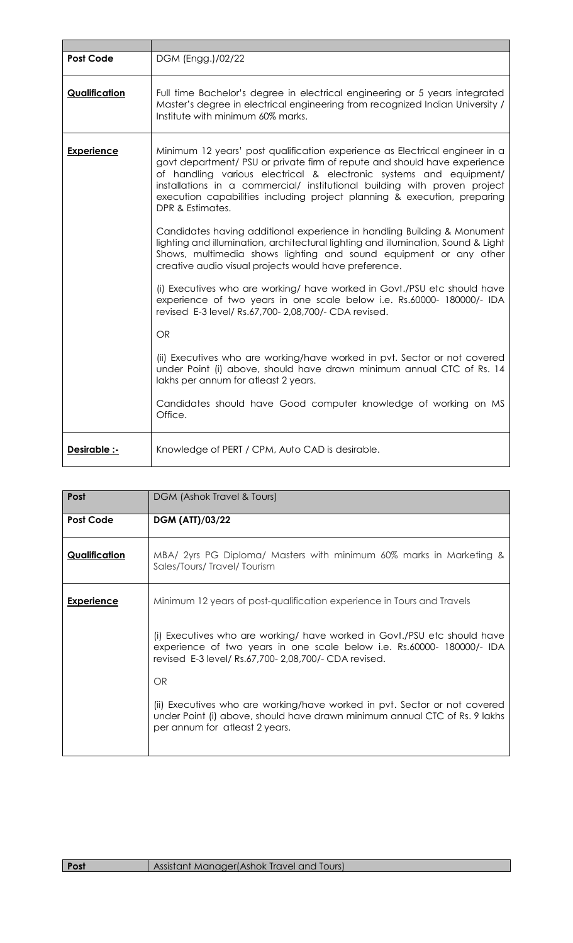| <b>Post Code</b>  | DGM (Engg.)/02/22                                                                                                                                                                                                                                                                                                                                                                                           |  |
|-------------------|-------------------------------------------------------------------------------------------------------------------------------------------------------------------------------------------------------------------------------------------------------------------------------------------------------------------------------------------------------------------------------------------------------------|--|
| Qualification     | Full time Bachelor's degree in electrical engineering or 5 years integrated<br>Master's degree in electrical engineering from recognized Indian University /<br>Institute with minimum 60% marks.                                                                                                                                                                                                           |  |
| <b>Experience</b> | Minimum 12 years' post qualification experience as Electrical engineer in a<br>govt department/ PSU or private firm of repute and should have experience<br>of handling various electrical & electronic systems and equipment/<br>installations in a commercial/ institutional building with proven project<br>execution capabilities including project planning & execution, preparing<br>DPR & Estimates. |  |
|                   | Candidates having additional experience in handling Building & Monument<br>lighting and illumination, architectural lighting and illumination, Sound & Light<br>Shows, multimedia shows lighting and sound equipment or any other<br>creative audio visual projects would have preference.                                                                                                                  |  |
|                   | (i) Executives who are working/ have worked in Govt./PSU etc should have<br>experience of two years in one scale below i.e. Rs.60000- 180000/- IDA<br>revised E-3 level/ Rs.67,700- 2,08,700/- CDA revised.                                                                                                                                                                                                 |  |
|                   | <b>OR</b>                                                                                                                                                                                                                                                                                                                                                                                                   |  |
|                   | (ii) Executives who are working/have worked in pvt. Sector or not covered<br>under Point (i) above, should have drawn minimum annual CTC of Rs. 14<br>lakhs per annum for atleast 2 years.                                                                                                                                                                                                                  |  |
|                   | Candidates should have Good computer knowledge of working on MS<br>Office.                                                                                                                                                                                                                                                                                                                                  |  |
| Desirable :-      | Knowledge of PERT / CPM, Auto CAD is desirable.                                                                                                                                                                                                                                                                                                                                                             |  |

| Post                 | DGM (Ashok Travel & Tours)                                                                                                                                                                                  |  |
|----------------------|-------------------------------------------------------------------------------------------------------------------------------------------------------------------------------------------------------------|--|
| <b>Post Code</b>     | <b>DGM (ATT)/03/22</b>                                                                                                                                                                                      |  |
| <b>Qualification</b> | MBA/ 2yrs PG Diploma/ Masters with minimum 60% marks in Marketing &<br>Sales/Tours/Travel/Tourism                                                                                                           |  |
| <b>Experience</b>    | Minimum 12 years of post-qualification experience in Tours and Travels                                                                                                                                      |  |
|                      | (i) Executives who are working/ have worked in Govt./PSU etc should have<br>experience of two years in one scale below i.e. Rs.60000- 180000/- IDA<br>revised E-3 level/ Rs.67,700- 2,08,700/- CDA revised. |  |
|                      | OR                                                                                                                                                                                                          |  |
|                      | (ii) Executives who are working/have worked in pvt. Sector or not covered<br>under Point (i) above, should have drawn minimum annual CTC of Rs. 9 lakhs<br>per annum for atleast 2 years.                   |  |
|                      |                                                                                                                                                                                                             |  |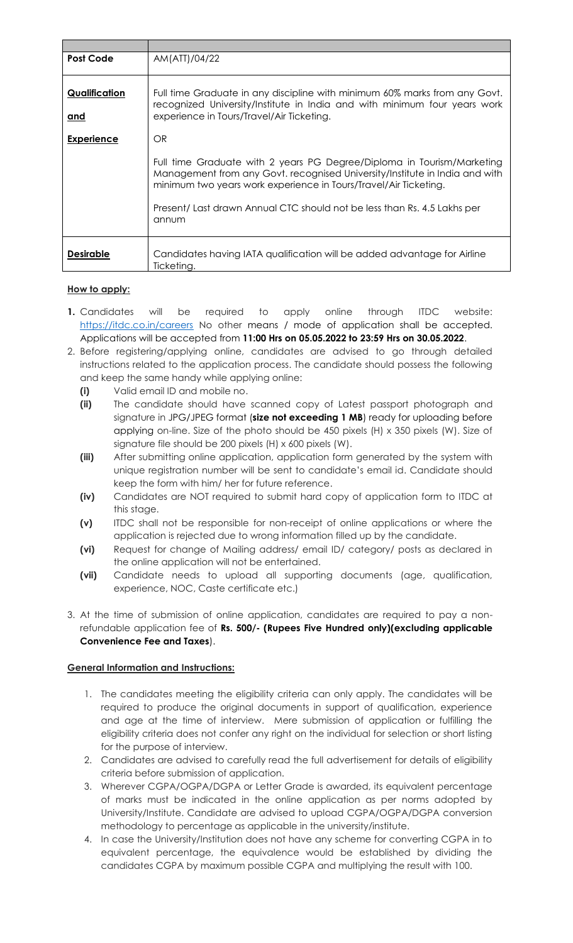| <b>Post Code</b>            | AM(ATT)/04/22                                                                                                                                                                                                             |
|-----------------------------|---------------------------------------------------------------------------------------------------------------------------------------------------------------------------------------------------------------------------|
| Qualification<br><u>and</u> | Full time Graduate in any discipline with minimum 60% marks from any Govt.<br>recognized University/Institute in India and with minimum four years work<br>experience in Tours/Travel/Air Ticketing.                      |
| <b>Experience</b>           | OR <sub></sub>                                                                                                                                                                                                            |
|                             | Full time Graduate with 2 years PG Degree/Diploma in Tourism/Marketing<br>Management from any Govt. recognised University/Institute in India and with<br>minimum two years work experience in Tours/Travel/Air Ticketing. |
|                             | Present/ Last drawn Annual CTC should not be less than Rs. 4.5 Lakhs per<br>annum                                                                                                                                         |
| <b>Desirable</b>            | Candidates having IATA qualification will be added advantage for Airline<br>Ticketing.                                                                                                                                    |

# **How to apply:**

- **1.** Candidates will be required to apply online through ITDC website: <https://itdc.co.in/careers> No other means / mode of application shall be accepted. Applications will be accepted from **11:00 Hrs on 05.05.2022 to 23:59 Hrs on 30.05.2022**.
- 2. Before registering/applying online, candidates are advised to go through detailed instructions related to the application process. The candidate should possess the following and keep the same handy while applying online:
	- **(i)** Valid email ID and mobile no.
	- **(ii)** The candidate should have scanned copy of Latest passport photograph and signature in JPG/JPEG format (**size not exceeding 1 MB**) ready for uploading before applying on-line. Size of the photo should be 450 pixels (H) x 350 pixels (W). Size of signature file should be 200 pixels (H) x 600 pixels (W).
	- **(iii)** After submitting online application, application form generated by the system with unique registration number will be sent to candidate's email id. Candidate should keep the form with him/ her for future reference.
	- **(iv)** Candidates are NOT required to submit hard copy of application form to ITDC at this stage.
	- **(v)** ITDC shall not be responsible for non-receipt of online applications or where the application is rejected due to wrong information filled up by the candidate.
	- **(vi)** Request for change of Mailing address/ email ID/ category/ posts as declared in the online application will not be entertained.
	- **(vii)** Candidate needs to upload all supporting documents (age, qualification, experience, NOC, Caste certificate etc.)
- 3. At the time of submission of online application, candidates are required to pay a nonrefundable application fee of **Rs. 500/- (Rupees Five Hundred only)(excluding applicable Convenience Fee and Taxes**).

# **General Information and Instructions:**

- 1. The candidates meeting the eligibility criteria can only apply. The candidates will be required to produce the original documents in support of qualification, experience and age at the time of interview. Mere submission of application or fulfilling the eligibility criteria does not confer any right on the individual for selection or short listing for the purpose of interview.
- 2. Candidates are advised to carefully read the full advertisement for details of eligibility criteria before submission of application.
- 3. Wherever CGPA/OGPA/DGPA or Letter Grade is awarded, its equivalent percentage of marks must be indicated in the online application as per norms adopted by University/Institute. Candidate are advised to upload CGPA/OGPA/DGPA conversion methodology to percentage as applicable in the university/institute.
- 4. In case the University/Institution does not have any scheme for converting CGPA in to equivalent percentage, the equivalence would be established by dividing the candidates CGPA by maximum possible CGPA and multiplying the result with 100.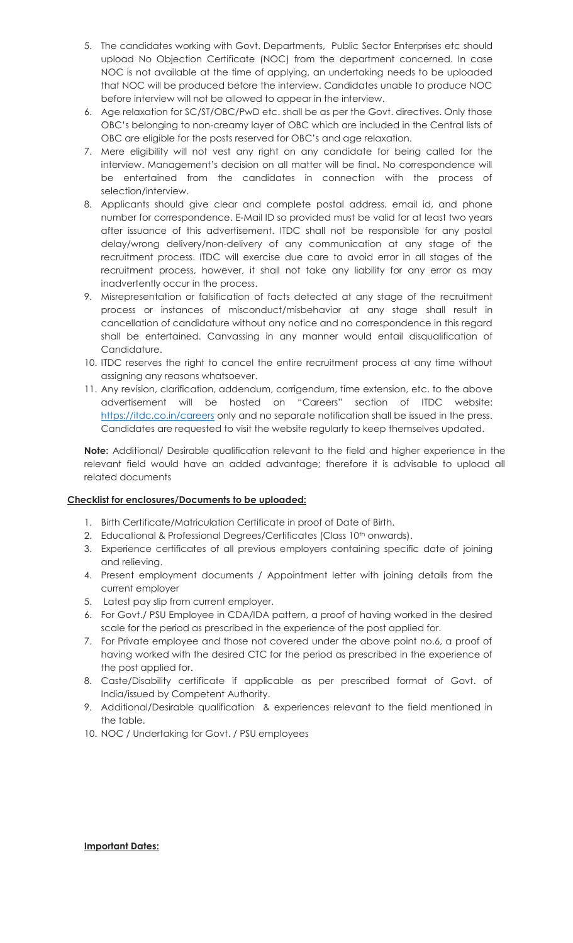- 5. The candidates working with Govt. Departments, Public Sector Enterprises etc should upload No Objection Certificate (NOC) from the department concerned. In case NOC is not available at the time of applying, an undertaking needs to be uploaded that NOC will be produced before the interview. Candidates unable to produce NOC before interview will not be allowed to appear in the interview.
- 6. Age relaxation for SC/ST/OBC/PwD etc. shall be as per the Govt. directives. Only those OBC's belonging to non-creamy layer of OBC which are included in the Central lists of OBC are eligible for the posts reserved for OBC's and age relaxation.
- 7. Mere eligibility will not vest any right on any candidate for being called for the interview. Management's decision on all matter will be final. No correspondence will be entertained from the candidates in connection with the process of selection/interview.
- 8. Applicants should give clear and complete postal address, email id, and phone number for correspondence. E-Mail ID so provided must be valid for at least two years after issuance of this advertisement. ITDC shall not be responsible for any postal delay/wrong delivery/non-delivery of any communication at any stage of the recruitment process. ITDC will exercise due care to avoid error in all stages of the recruitment process, however, it shall not take any liability for any error as may inadvertently occur in the process.
- 9. Misrepresentation or falsification of facts detected at any stage of the recruitment process or instances of misconduct/misbehavior at any stage shall result in cancellation of candidature without any notice and no correspondence in this regard shall be entertained. Canvassing in any manner would entail disqualification of Candidature.
- 10. ITDC reserves the right to cancel the entire recruitment process at any time without assigning any reasons whatsoever.
- 11. Any revision, clarification, addendum, corrigendum, time extension, etc. to the above advertisement will be hosted on "Careers" section of ITDC website: <https://itdc.co.in/careers> only and no separate notification shall be issued in the press. Candidates are requested to visit the website regularly to keep themselves updated.

**Note:** Additional/ Desirable qualification relevant to the field and higher experience in the relevant field would have an added advantage; therefore it is advisable to upload all related documents

# **Checklist for enclosures/Documents to be uploaded:**

- 1. Birth Certificate/Matriculation Certificate in proof of Date of Birth.
- 2. Educational & Professional Degrees/Certificates (Class 10<sup>th</sup> onwards).
- 3. Experience certificates of all previous employers containing specific date of joining and relieving.
- 4. Present employment documents / Appointment letter with joining details from the current employer
- 5. Latest pay slip from current employer.
- 6. For Govt./ PSU Employee in CDA/IDA pattern, a proof of having worked in the desired scale for the period as prescribed in the experience of the post applied for.
- 7. For Private employee and those not covered under the above point no.6, a proof of having worked with the desired CTC for the period as prescribed in the experience of the post applied for.
- 8. Caste/Disability certificate if applicable as per prescribed format of Govt. of India/issued by Competent Authority.
- 9. Additional/Desirable qualification & experiences relevant to the field mentioned in the table.
- 10. NOC / Undertaking for Govt. / PSU employees

#### **Important Dates:**